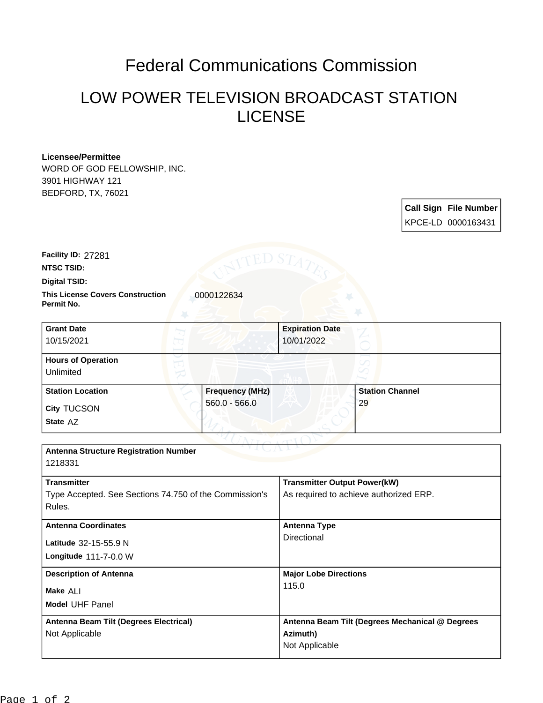## Federal Communications Commission

## LOW POWER TELEVISION BROADCAST STATION LICENSE

## **Licensee/Permittee**

WORD OF GOD FELLOWSHIP, INC. 3901 HIGHWAY 121 BEDFORD, TX, 76021

| <b>Call Sign File Number</b> |
|------------------------------|
| KPCE-LD 0000163431           |

**Facility ID:** 27281

**NTSC TSID:**

**Digital TSID:**

**This License Covers Construction**  0000122634 **Permit No.**

| <b>Grant Date</b><br>10/15/2021        |                        | <b>Expiration Date</b><br>10/01/2022 |                        |  |
|----------------------------------------|------------------------|--------------------------------------|------------------------|--|
| <b>Hours of Operation</b><br>Unlimited |                        |                                      |                        |  |
| <b>Station Location</b>                | <b>Frequency (MHz)</b> |                                      | <b>Station Channel</b> |  |
| <b>City TUCSON</b><br>State AZ         | $560.0 - 566.0$        |                                      | 29                     |  |

| <b>Antenna Structure Registration Number</b><br>1218331                                |                                                                               |  |  |  |
|----------------------------------------------------------------------------------------|-------------------------------------------------------------------------------|--|--|--|
| <b>Transmitter</b><br>Type Accepted. See Sections 74.750 of the Commission's<br>Rules. | <b>Transmitter Output Power(kW)</b><br>As required to achieve authorized ERP. |  |  |  |
| <b>Antenna Coordinates</b>                                                             | Antenna Type                                                                  |  |  |  |
| Latitude 32-15-55.9 N<br>Longitude 111-7-0.0 W                                         | Directional                                                                   |  |  |  |
| <b>Description of Antenna</b>                                                          | <b>Major Lobe Directions</b>                                                  |  |  |  |
| Make ALI<br><b>Model UHF Panel</b>                                                     | 115.0                                                                         |  |  |  |
| Antenna Beam Tilt (Degrees Electrical)<br>Not Applicable                               | Antenna Beam Tilt (Degrees Mechanical @ Degrees<br>Azimuth)<br>Not Applicable |  |  |  |